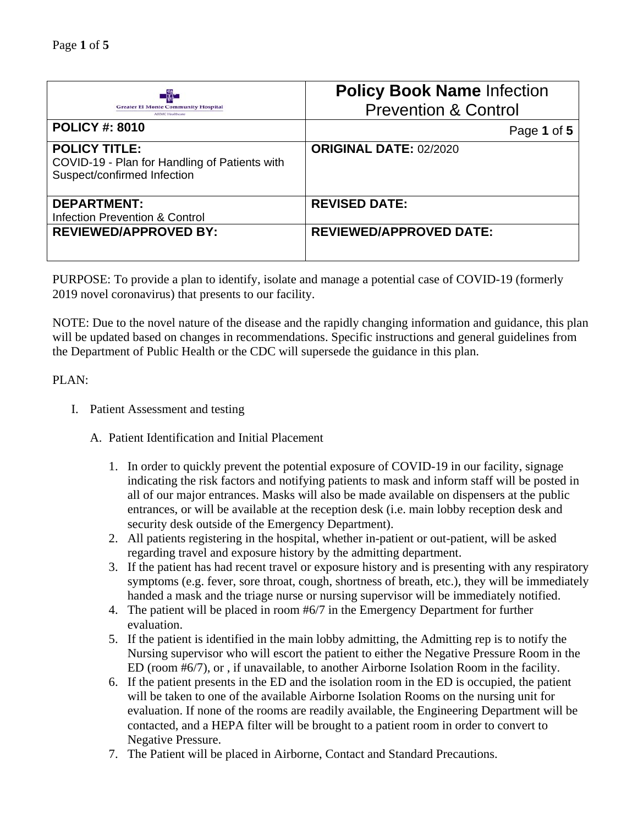|                                                                                                      | <b>Policy Book Name Infection</b> |
|------------------------------------------------------------------------------------------------------|-----------------------------------|
| <b>Greater El Monte Community Hospital</b><br><b>ATIMC Healthcare</b>                                | <b>Prevention &amp; Control</b>   |
| <b>POLICY #: 8010</b>                                                                                | Page 1 of 5                       |
| <b>POLICY TITLE:</b><br>COVID-19 - Plan for Handling of Patients with<br>Suspect/confirmed Infection | <b>ORIGINAL DATE: 02/2020</b>     |
| <b>DEPARTMENT:</b><br><b>Infection Prevention &amp; Control</b>                                      | <b>REVISED DATE:</b>              |
| <b>REVIEWED/APPROVED BY:</b>                                                                         | <b>REVIEWED/APPROVED DATE:</b>    |

PURPOSE: To provide a plan to identify, isolate and manage a potential case of COVID-19 (formerly 2019 novel coronavirus) that presents to our facility.

NOTE: Due to the novel nature of the disease and the rapidly changing information and guidance, this plan will be updated based on changes in recommendations. Specific instructions and general guidelines from the Department of Public Health or the CDC will supersede the guidance in this plan.

## PLAN:

- I. Patient Assessment and testing
	- A. Patient Identification and Initial Placement
		- 1. In order to quickly prevent the potential exposure of COVID-19 in our facility, signage indicating the risk factors and notifying patients to mask and inform staff will be posted in all of our major entrances. Masks will also be made available on dispensers at the public entrances, or will be available at the reception desk (i.e. main lobby reception desk and security desk outside of the Emergency Department).
		- 2. All patients registering in the hospital, whether in-patient or out-patient, will be asked regarding travel and exposure history by the admitting department.
		- 3. If the patient has had recent travel or exposure history and is presenting with any respiratory symptoms (e.g. fever, sore throat, cough, shortness of breath, etc.), they will be immediately handed a mask and the triage nurse or nursing supervisor will be immediately notified.
		- 4. The patient will be placed in room #6/7 in the Emergency Department for further evaluation.
		- 5. If the patient is identified in the main lobby admitting, the Admitting rep is to notify the Nursing supervisor who will escort the patient to either the Negative Pressure Room in the ED (room #6/7), or , if unavailable, to another Airborne Isolation Room in the facility.
		- 6. If the patient presents in the ED and the isolation room in the ED is occupied, the patient will be taken to one of the available Airborne Isolation Rooms on the nursing unit for evaluation. If none of the rooms are readily available, the Engineering Department will be contacted, and a HEPA filter will be brought to a patient room in order to convert to Negative Pressure.
		- 7. The Patient will be placed in Airborne, Contact and Standard Precautions.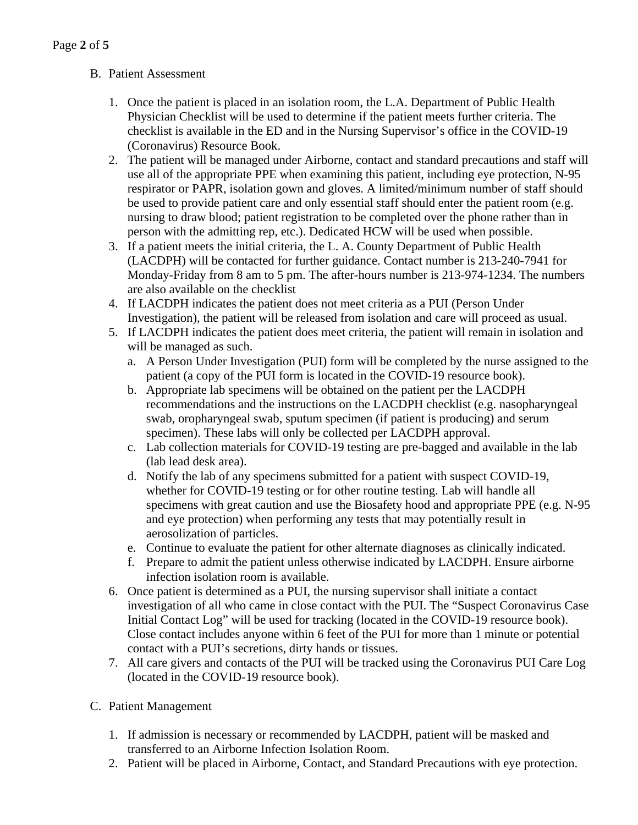# B. Patient Assessment

- 1. Once the patient is placed in an isolation room, the L.A. Department of Public Health Physician Checklist will be used to determine if the patient meets further criteria. The checklist is available in the ED and in the Nursing Supervisor's office in the COVID-19 (Coronavirus) Resource Book.
- 2. The patient will be managed under Airborne, contact and standard precautions and staff will use all of the appropriate PPE when examining this patient, including eye protection, N-95 respirator or PAPR, isolation gown and gloves. A limited/minimum number of staff should be used to provide patient care and only essential staff should enter the patient room (e.g. nursing to draw blood; patient registration to be completed over the phone rather than in person with the admitting rep, etc.). Dedicated HCW will be used when possible.
- 3. If a patient meets the initial criteria, the L. A. County Department of Public Health (LACDPH) will be contacted for further guidance. Contact number is 213-240-7941 for Monday-Friday from 8 am to 5 pm. The after-hours number is 213-974-1234. The numbers are also available on the checklist
- 4. If LACDPH indicates the patient does not meet criteria as a PUI (Person Under Investigation), the patient will be released from isolation and care will proceed as usual.
- 5. If LACDPH indicates the patient does meet criteria, the patient will remain in isolation and will be managed as such.
	- a. A Person Under Investigation (PUI) form will be completed by the nurse assigned to the patient (a copy of the PUI form is located in the COVID-19 resource book).
	- b. Appropriate lab specimens will be obtained on the patient per the LACDPH recommendations and the instructions on the LACDPH checklist (e.g. nasopharyngeal swab, oropharyngeal swab, sputum specimen (if patient is producing) and serum specimen). These labs will only be collected per LACDPH approval.
	- c. Lab collection materials for COVID-19 testing are pre-bagged and available in the lab (lab lead desk area).
	- d. Notify the lab of any specimens submitted for a patient with suspect COVID-19, whether for COVID-19 testing or for other routine testing. Lab will handle all specimens with great caution and use the Biosafety hood and appropriate PPE (e.g. N-95 and eye protection) when performing any tests that may potentially result in aerosolization of particles.
	- e. Continue to evaluate the patient for other alternate diagnoses as clinically indicated.
	- f. Prepare to admit the patient unless otherwise indicated by LACDPH. Ensure airborne infection isolation room is available.
- 6. Once patient is determined as a PUI, the nursing supervisor shall initiate a contact investigation of all who came in close contact with the PUI. The "Suspect Coronavirus Case Initial Contact Log" will be used for tracking (located in the COVID-19 resource book). Close contact includes anyone within 6 feet of the PUI for more than 1 minute or potential contact with a PUI's secretions, dirty hands or tissues.
- 7. All care givers and contacts of the PUI will be tracked using the Coronavirus PUI Care Log (located in the COVID-19 resource book).
- C. Patient Management
	- 1. If admission is necessary or recommended by LACDPH, patient will be masked and transferred to an Airborne Infection Isolation Room.
	- 2. Patient will be placed in Airborne, Contact, and Standard Precautions with eye protection.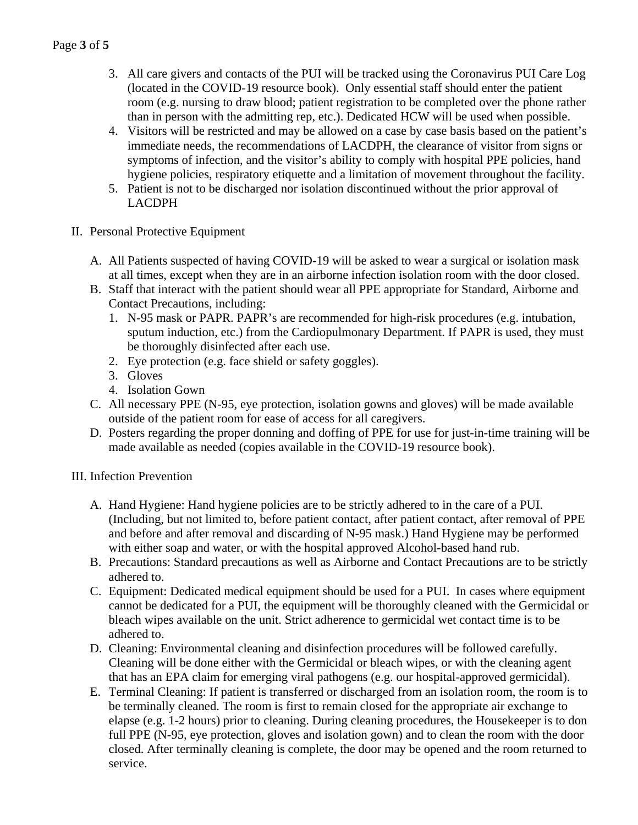- 3. All care givers and contacts of the PUI will be tracked using the Coronavirus PUI Care Log (located in the COVID-19 resource book). Only essential staff should enter the patient room (e.g. nursing to draw blood; patient registration to be completed over the phone rather than in person with the admitting rep, etc.). Dedicated HCW will be used when possible.
- 4. Visitors will be restricted and may be allowed on a case by case basis based on the patient's immediate needs, the recommendations of LACDPH, the clearance of visitor from signs or symptoms of infection, and the visitor's ability to comply with hospital PPE policies, hand hygiene policies, respiratory etiquette and a limitation of movement throughout the facility.
- 5. Patient is not to be discharged nor isolation discontinued without the prior approval of LACDPH
- II. Personal Protective Equipment
	- A. All Patients suspected of having COVID-19 will be asked to wear a surgical or isolation mask at all times, except when they are in an airborne infection isolation room with the door closed.
	- B. Staff that interact with the patient should wear all PPE appropriate for Standard, Airborne and Contact Precautions, including:
		- 1. N-95 mask or PAPR. PAPR's are recommended for high-risk procedures (e.g. intubation, sputum induction, etc.) from the Cardiopulmonary Department. If PAPR is used, they must be thoroughly disinfected after each use.
		- 2. Eye protection (e.g. face shield or safety goggles).
		- 3. Gloves
		- 4. Isolation Gown
	- C. All necessary PPE (N-95, eye protection, isolation gowns and gloves) will be made available outside of the patient room for ease of access for all caregivers.
	- D. Posters regarding the proper donning and doffing of PPE for use for just-in-time training will be made available as needed (copies available in the COVID-19 resource book).

### III. Infection Prevention

- A. Hand Hygiene: Hand hygiene policies are to be strictly adhered to in the care of a PUI. (Including, but not limited to, before patient contact, after patient contact, after removal of PPE and before and after removal and discarding of N-95 mask.) Hand Hygiene may be performed with either soap and water, or with the hospital approved Alcohol-based hand rub.
- B. Precautions: Standard precautions as well as Airborne and Contact Precautions are to be strictly adhered to.
- C. Equipment: Dedicated medical equipment should be used for a PUI. In cases where equipment cannot be dedicated for a PUI, the equipment will be thoroughly cleaned with the Germicidal or bleach wipes available on the unit. Strict adherence to germicidal wet contact time is to be adhered to.
- D. Cleaning: Environmental cleaning and disinfection procedures will be followed carefully. Cleaning will be done either with the Germicidal or bleach wipes, or with the cleaning agent that has an EPA claim for emerging viral pathogens (e.g. our hospital-approved germicidal).
- E. Terminal Cleaning: If patient is transferred or discharged from an isolation room, the room is to be terminally cleaned. The room is first to remain closed for the appropriate air exchange to elapse (e.g. 1-2 hours) prior to cleaning. During cleaning procedures, the Housekeeper is to don full PPE (N-95, eye protection, gloves and isolation gown) and to clean the room with the door closed. After terminally cleaning is complete, the door may be opened and the room returned to service.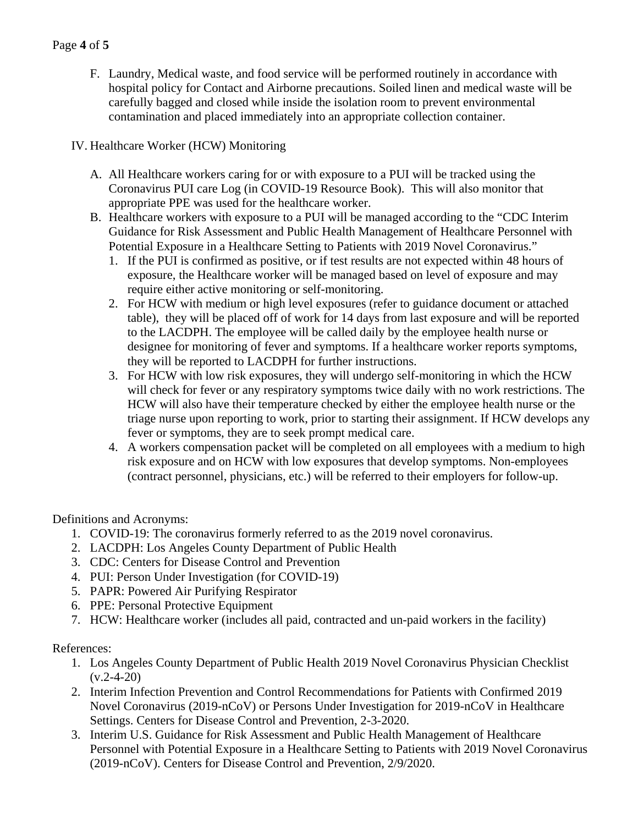## Page **4** of **5**

F. Laundry, Medical waste, and food service will be performed routinely in accordance with hospital policy for Contact and Airborne precautions. Soiled linen and medical waste will be carefully bagged and closed while inside the isolation room to prevent environmental contamination and placed immediately into an appropriate collection container.

### IV. Healthcare Worker (HCW) Monitoring

- A. All Healthcare workers caring for or with exposure to a PUI will be tracked using the Coronavirus PUI care Log (in COVID-19 Resource Book). This will also monitor that appropriate PPE was used for the healthcare worker.
- B. Healthcare workers with exposure to a PUI will be managed according to the "CDC Interim Guidance for Risk Assessment and Public Health Management of Healthcare Personnel with Potential Exposure in a Healthcare Setting to Patients with 2019 Novel Coronavirus."
	- 1. If the PUI is confirmed as positive, or if test results are not expected within 48 hours of exposure, the Healthcare worker will be managed based on level of exposure and may require either active monitoring or self-monitoring.
	- 2. For HCW with medium or high level exposures (refer to guidance document or attached table), they will be placed off of work for 14 days from last exposure and will be reported to the LACDPH. The employee will be called daily by the employee health nurse or designee for monitoring of fever and symptoms. If a healthcare worker reports symptoms, they will be reported to LACDPH for further instructions.
	- 3. For HCW with low risk exposures, they will undergo self-monitoring in which the HCW will check for fever or any respiratory symptoms twice daily with no work restrictions. The HCW will also have their temperature checked by either the employee health nurse or the triage nurse upon reporting to work, prior to starting their assignment. If HCW develops any fever or symptoms, they are to seek prompt medical care.
	- 4. A workers compensation packet will be completed on all employees with a medium to high risk exposure and on HCW with low exposures that develop symptoms. Non-employees (contract personnel, physicians, etc.) will be referred to their employers for follow-up.

Definitions and Acronyms:

- 1. COVID-19: The coronavirus formerly referred to as the 2019 novel coronavirus.
- 2. LACDPH: Los Angeles County Department of Public Health
- 3. CDC: Centers for Disease Control and Prevention
- 4. PUI: Person Under Investigation (for COVID-19)
- 5. PAPR: Powered Air Purifying Respirator
- 6. PPE: Personal Protective Equipment
- 7. HCW: Healthcare worker (includes all paid, contracted and un-paid workers in the facility)

#### References:

- 1. Los Angeles County Department of Public Health 2019 Novel Coronavirus Physician Checklist  $(v.2 - 4 - 20)$
- 2. Interim Infection Prevention and Control Recommendations for Patients with Confirmed 2019 Novel Coronavirus (2019-nCoV) or Persons Under Investigation for 2019-nCoV in Healthcare Settings. Centers for Disease Control and Prevention, 2-3-2020.
- 3. Interim U.S. Guidance for Risk Assessment and Public Health Management of Healthcare Personnel with Potential Exposure in a Healthcare Setting to Patients with 2019 Novel Coronavirus (2019-nCoV). Centers for Disease Control and Prevention, 2/9/2020.